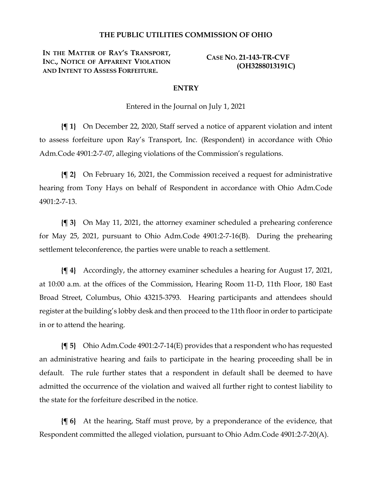### **THE PUBLIC UTILITIES COMMISSION OF OHIO**

**IN THE MATTER OF RAY'S TRANSPORT, INC., NOTICE OF APPARENT VIOLATION AND INTENT TO ASSESS FORFEITURE.**

**CASE NO. 21-143-TR-CVF (OH3288013191C)**

#### **ENTRY**

Entered in the Journal on July 1, 2021

**{¶ 1}** On December 22, 2020, Staff served a notice of apparent violation and intent to assess forfeiture upon Ray's Transport, Inc. (Respondent) in accordance with Ohio Adm.Code 4901:2-7-07, alleging violations of the Commission's regulations.

**{¶ 2}** On February 16, 2021, the Commission received a request for administrative hearing from Tony Hays on behalf of Respondent in accordance with Ohio Adm.Code 4901:2-7-13.

**{¶ 3}** On May 11, 2021, the attorney examiner scheduled a prehearing conference for May 25, 2021, pursuant to Ohio Adm.Code 4901:2-7-16(B). During the prehearing settlement teleconference, the parties were unable to reach a settlement.

**{¶ 4}** Accordingly, the attorney examiner schedules a hearing for August 17, 2021, at 10:00 a.m. at the offices of the Commission, Hearing Room 11-D, 11th Floor, 180 East Broad Street, Columbus, Ohio 43215-3793. Hearing participants and attendees should register at the building's lobby desk and then proceed to the 11th floor in order to participate in or to attend the hearing.

**{¶ 5}** Ohio Adm.Code 4901:2-7-14(E) provides that a respondent who has requested an administrative hearing and fails to participate in the hearing proceeding shall be in default. The rule further states that a respondent in default shall be deemed to have admitted the occurrence of the violation and waived all further right to contest liability to the state for the forfeiture described in the notice.

**{¶ 6}** At the hearing, Staff must prove, by a preponderance of the evidence, that Respondent committed the alleged violation, pursuant to Ohio Adm.Code 4901:2-7-20(A).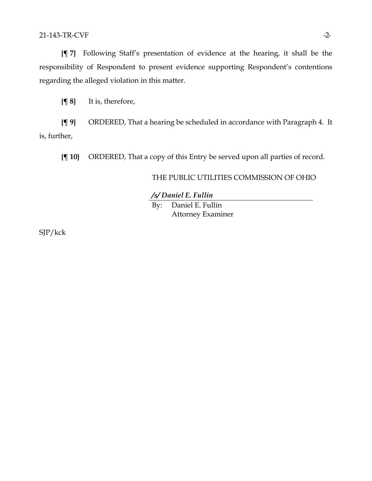### 21-143-TR-CVF -2-

**{¶ 7}** Following Staff's presentation of evidence at the hearing, it shall be the responsibility of Respondent to present evidence supporting Respondent's contentions regarding the alleged violation in this matter.

**{¶ 8}** It is, therefore,

**{¶ 9}** ORDERED, That a hearing be scheduled in accordance with Paragraph 4. It is, further,

**{¶ 10}** ORDERED, That a copy of this Entry be served upon all parties of record.

## THE PUBLIC UTILITIES COMMISSION OF OHIO

*/s/ Daniel E. Fullin*

By: Daniel E. Fullin Attorney Examiner

SJP/kck